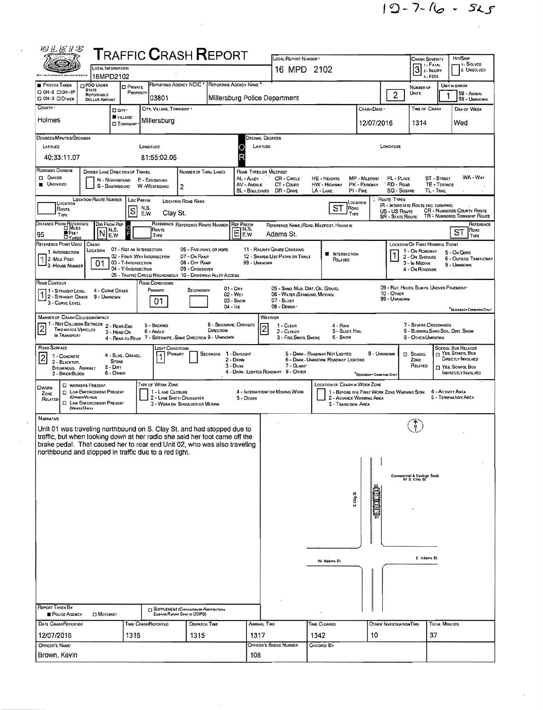| 相互运动客                                                                                                                                                  |                                                    | <b>T</b> RAFFIC <b>C</b> RASH <b>R</b> EPORT                                   |                                                             |                                                  |                                    | LOCAL REPORT NUMBER *                                                              |                                                                                      |                           |                                          | Crash Severity                                          |                            | HIT/SKIP                                                          |
|--------------------------------------------------------------------------------------------------------------------------------------------------------|----------------------------------------------------|--------------------------------------------------------------------------------|-------------------------------------------------------------|--------------------------------------------------|------------------------------------|------------------------------------------------------------------------------------|--------------------------------------------------------------------------------------|---------------------------|------------------------------------------|---------------------------------------------------------|----------------------------|-------------------------------------------------------------------|
|                                                                                                                                                        | <b>LOCAL INFORMATION</b><br>16MPD2102              |                                                                                |                                                             |                                                  |                                    | 16 MPD 2102                                                                        |                                                                                      |                           |                                          | 1 - Fatal<br>$\boxed{3}$ 2 - Injury<br>$3 - PDO$        |                            | 1 - SOLVED<br>2. UNSOLVED                                         |
| <b>PHOTOS TAKEN</b><br>PDO UNDER<br>STATE                                                                                                              | <b>D</b> PRIVATE                                   |                                                                                | REPORTING AGENCY NCIC <sup>*</sup>                          | REPORTING AGENCY NAME                            |                                    |                                                                                    |                                                                                      |                           |                                          | NUMBER OF                                               |                            | UNIT IN ERROR                                                     |
| □ 0Н-2 □ 0Н-1Р<br>REPORTABLE<br>DOH-3 DOTHER<br><b>DOLLAR AMOUNT</b>                                                                                   | PROPERTY                                           | 03801                                                                          |                                                             | Millersburg Police Department                    |                                    |                                                                                    |                                                                                      |                           | $\overline{c}$                           | Units                                                   |                            | 98 - ANIMAL<br>99 - UNKNOWN                                       |
| COUNTY *                                                                                                                                               | D CITY'<br>VILLAGE*                                | CITY, VILLAGE, TOWNSHIP                                                        |                                                             |                                                  |                                    |                                                                                    |                                                                                      | CRASH DATE *              |                                          | TIME OF CRASH                                           |                            | DAY OF WEEK                                                       |
| Holmes                                                                                                                                                 | <b>CI TOWNSHIP</b>                                 | Millersburg                                                                    |                                                             |                                                  |                                    |                                                                                    |                                                                                      | 12/07/2016                |                                          | 1314                                                    |                            | Wed                                                               |
| DEGREES/MINUTES/SECONDS                                                                                                                                |                                                    |                                                                                |                                                             |                                                  | DECIMAL DEGREES                    |                                                                                    |                                                                                      |                           |                                          |                                                         |                            |                                                                   |
| LATITUDE                                                                                                                                               |                                                    | LONGITUDE                                                                      |                                                             |                                                  | LATITUDE                           |                                                                                    |                                                                                      |                           | LONGITUDE                                |                                                         |                            |                                                                   |
| 40:33:11.07                                                                                                                                            |                                                    | 81:55:02.05                                                                    |                                                             |                                                  |                                    |                                                                                    |                                                                                      |                           |                                          |                                                         |                            |                                                                   |
| Roadway Division<br><b>DIVIOED</b>                                                                                                                     | DIVIDED LANE DIRECTION OF TRAVEL<br>N - Northbound | E - EASTBOUND                                                                  | NUMBER OF THRU LANES                                        |                                                  | ROAD TYPES OR MILEPOST<br>AL-ALLEY | CR - CIRCLE                                                                        | HE - HEIGHTS                                                                         | MP - MILEPOST             | PL - PLACE                               |                                                         | <b>ST - STREET</b>         | WA - WAY                                                          |
| <b>UNDIVIDED</b>                                                                                                                                       | S - SOUTHBOUND                                     | W-WESTBOUND                                                                    | $\overline{2}$                                              |                                                  | AV - AVENUE<br>BL - BOULEVARD      | CT - Count<br>DR - DRIVE                                                           | HW - HIGHWAY<br>LA - LANE                                                            | PK - PARKWAY<br>PI - PIKE | RD - Road<br><b>SQ - SQUARE</b>          |                                                         | TE - TERRACE<br>TL - TRAIL |                                                                   |
| LOCATION<br>Route                                                                                                                                      | LOCATION ROUTE NUMBER   LOC PREFIX                 | N,S,                                                                           | <b>LOCATION ROAD NAME</b>                                   |                                                  |                                    |                                                                                    | ST<br>ROAD                                                                           | LOCATION                  | Route Types                              | <b>IR - INTERSTATE ROUTE (INC. TURNPIKE)</b>            |                            |                                                                   |
| TYPE                                                                                                                                                   | S                                                  | E.W<br>Clay St.                                                                |                                                             |                                                  |                                    |                                                                                    | TYPE                                                                                 |                           | US - US Route<br><b>SR - STATE ROUTE</b> |                                                         |                            | <b>CR</b> - NUMBERED COUNTY ROUTE<br>TR - NUMBERED TOWNSHIP ROUTE |
| DISTANCE FROM REFERENCE                                                                                                                                | DIR FROM REF<br>o<br>N,S,                          | ROUTE                                                                          | REFERENCE REFERENCE ROUTE NUMBER                            | <b>REF PREFIX</b><br>$E_{\text{F}}^{\text{N,S}}$ | E.W                                | Adams St.                                                                          | REFERENCE NAME (ROAD, MILEPOST, HOUSE #)                                             |                           |                                          |                                                         |                            | REFERENCE<br>Roap<br>ST                                           |
| <b>E</b> FEET<br>95<br>REFERENCE POINT USED<br>CRASH                                                                                                   | E.W                                                | TYPE                                                                           |                                                             |                                                  |                                    |                                                                                    |                                                                                      |                           |                                          | <b>LOCATION OF FIRST HARMFUL EVENT</b>                  |                            | TYPE                                                              |
| LOCATION<br>1-INTERSECTION<br>2-MILE POST                                                                                                              | 01 - NOT AN INTERSECTION                           | 02 - FOUR-WAY INTERSECTION                                                     | 06 - Five-point, or more<br>07 - On RAMP                    |                                                  |                                    | 11 - RAILWAY GRADE CROSSING<br>12 - Shared Use Paths or Trails                     | <b>NE INTERSECTION</b><br>RELATED                                                    |                           |                                          | 1 - ON ROADWAY<br>2 - On Shoulde                        |                            | 5 - ON GORE<br><b>6 - OUTSIDE TRAFFICWAY</b>                      |
| 01<br><sup>1</sup> 3 -House Number                                                                                                                     | 03 - T-INTERSECTION<br>04 - Y-INTERSECTION         |                                                                                | 08 - Off RAMP<br>09 - Crossover                             |                                                  | 99 - UNKNOWN                       |                                                                                    |                                                                                      |                           |                                          | 3 - In MEDIAN<br>4 - On ROADSIDE                        |                            | 9 - UNKNOWN                                                       |
| Road Contour                                                                                                                                           |                                                    | 05 - TRAFFIC CIRCLE/ ROUNDABOUT 10 - DRIVEWAY/ ALLEY ACCESS<br>ROAD CONDITIONS |                                                             |                                                  |                                    |                                                                                    |                                                                                      |                           |                                          |                                                         |                            |                                                                   |
| 11 - Straight Level<br>2 - STRAIGHT GRADE 9 - UNKNOWN                                                                                                  | 4 - CURVE GRADE                                    | PRIMARY                                                                        | SECONDARY                                                   | $01 - \text{Dry}$<br>02 - WET<br>$03 -$ SNOW     |                                    | 05 - SAND, MUD, DIRT, OIL, GRAVEL<br>06 - WATER (STANDING, MOVING)<br>$07 -$ SLUSH |                                                                                      |                           | 10 - OTHER<br>99 - UNKNOWN               | 09 - RUT. HOLES, BUMPS, UNEVEN PAVEMENT                 |                            |                                                                   |
| 3 - CURVE LEVEL                                                                                                                                        |                                                    | 01                                                                             |                                                             | $04 -$ Ice                                       |                                    | 08 - DESRIS                                                                        |                                                                                      |                           |                                          |                                                         |                            | <b>SECONDARY CONDITION ORLY</b>                                   |
| MANNER OF CRASH COLLISION/IMPACT<br>1 - Not Collision Between 2 - Rear-End                                                                             |                                                    | 5 - BACKING                                                                    |                                                             | 8 - Sideswipe, Opposite                          |                                    | WEATHER<br>1 - CLEAR                                                               | 4 - RAN                                                                              |                           |                                          | 7 - SEVERE CROSSWINDS                                   |                            |                                                                   |
| TWO MOTOR VEHICLES<br>IN TRANSPORT                                                                                                                     | 3 - HEAD-ON                                        | 6 - Angle<br>4 - REAR-TO-REAR 7 - SIDESWIPE, SAME DIRECTION 9 - UNKNOWN        |                                                             | DIRECTION                                        | $\overline{2}$                     | 2 - CLOUDY<br>3 - Fog, Smog, Smoke                                                 | 5 - Sleet, Hail<br>6 - Snow                                                          |                           |                                          | 8 - BLOWING SAND, SOIL, DIRT, SNOW<br>9 - OTHER/UNKNOWN |                            |                                                                   |
| ROAD SURFACE                                                                                                                                           |                                                    | Light Conditions                                                               |                                                             |                                                  |                                    |                                                                                    |                                                                                      |                           |                                          |                                                         |                            | SCHOOL BUS RELATED<br><sup>T</sup> YES. SCHOOL BUS                |
| 1 - CONCRETE<br>2 - BLACKTOP,                                                                                                                          | 4 - Slag, Gravel,<br><b>STONE</b>                  |                                                                                | PRIMARY                                                     | SECONDAR 1 - DAYLIGHT<br>2 - DAWN<br>$3 - D$ usk |                                    | 7 - GLARE*                                                                         | 5 - DARK - ROADWAY NOT LIGHTED<br>6 - DARK - UNKNOWN ROADWAY LIGHTING                | 9 - UNKNOWN               |                                          | $\Box$ School<br>ZONE<br>RELATED                        |                            | DIRECTLY INVOLVED                                                 |
| BITUMINOUS, ASPHALT<br>3 - BRICK/BLOCK                                                                                                                 | $5 - Diff$<br>6 - Other                            |                                                                                |                                                             |                                                  |                                    | 4 - DARK - LIGHTED ROADWAY 8 - OTHER                                               |                                                                                      | SECONDARY CONDITION ONLY  |                                          |                                                         |                            | T YES, SCHOOL Bus<br><b>INDIRECTLY INVOLVED</b>                   |
| <b>C WORKERS PRESENT</b><br><b>CIWORK</b><br><b>T LAW ENFORCEMENT PRESENT</b><br>ZONE                                                                  |                                                    | TYPE OF WORK ZONE<br>1 - LANE CLOSURE                                          |                                                             |                                                  |                                    | 4 - INTERMITTENT OR MOVING WORK                                                    | <b>LOCATION OF CRASH IN WORK ZONE</b><br>1 - BEFORE THE FIRST WORK ZONE WARNING SIGN |                           |                                          |                                                         | 4 - ACTIVITY AREA          |                                                                   |
| (OFFICER/VEHICLE)<br>RELATED<br><b>EI LAW ENFORCEMENT PRESENT</b>                                                                                      |                                                    |                                                                                | 2 - LANE SHIFT! CROSSOVER<br>3 - WORK ON SHOULOER OR MEDIAN |                                                  | 5 - OTHER                          |                                                                                    | 2 - ADVANCE WARMING AREA<br>3 - Transition Area                                      |                           |                                          |                                                         |                            | 5 - TERMINATION AREA                                              |
| (VENCLEONLY)<br>NARRATIVE                                                                                                                              |                                                    |                                                                                |                                                             |                                                  |                                    |                                                                                    |                                                                                      |                           |                                          |                                                         |                            |                                                                   |
| Unit 01 was traveling northbound on S. Clay St. and had stopped due to                                                                                 |                                                    |                                                                                |                                                             |                                                  |                                    |                                                                                    |                                                                                      |                           |                                          |                                                         |                            |                                                                   |
| traffic, but when looking down at her radio she said her foot came off the<br>brake pedal. That caused her to rear end Unit 02, who was also traveling |                                                    |                                                                                |                                                             |                                                  |                                    |                                                                                    |                                                                                      |                           |                                          |                                                         |                            |                                                                   |
| northbound and stopped in traffic due to a red light.                                                                                                  |                                                    |                                                                                |                                                             |                                                  |                                    |                                                                                    |                                                                                      |                           |                                          |                                                         |                            |                                                                   |
|                                                                                                                                                        |                                                    |                                                                                |                                                             |                                                  |                                    |                                                                                    |                                                                                      |                           |                                          |                                                         |                            |                                                                   |
|                                                                                                                                                        |                                                    |                                                                                |                                                             |                                                  |                                    |                                                                                    |                                                                                      |                           |                                          | Commercial & Savings Bank<br>91 S. Clay St.             |                            |                                                                   |
|                                                                                                                                                        |                                                    |                                                                                |                                                             |                                                  |                                    |                                                                                    | ន<br>ភ្នំ                                                                            |                           |                                          |                                                         |                            |                                                                   |
|                                                                                                                                                        |                                                    |                                                                                |                                                             |                                                  |                                    |                                                                                    |                                                                                      |                           |                                          |                                                         |                            |                                                                   |
|                                                                                                                                                        |                                                    |                                                                                |                                                             |                                                  |                                    |                                                                                    |                                                                                      |                           |                                          |                                                         |                            |                                                                   |
|                                                                                                                                                        |                                                    |                                                                                |                                                             |                                                  |                                    |                                                                                    |                                                                                      |                           |                                          |                                                         |                            |                                                                   |
|                                                                                                                                                        |                                                    |                                                                                |                                                             |                                                  |                                    |                                                                                    |                                                                                      |                           |                                          |                                                         |                            |                                                                   |
|                                                                                                                                                        |                                                    |                                                                                |                                                             |                                                  |                                    |                                                                                    | W. Adams St.                                                                         |                           |                                          | E Adams St.                                             |                            |                                                                   |
|                                                                                                                                                        |                                                    |                                                                                |                                                             |                                                  |                                    |                                                                                    |                                                                                      |                           |                                          |                                                         |                            |                                                                   |
|                                                                                                                                                        |                                                    |                                                                                |                                                             |                                                  |                                    |                                                                                    |                                                                                      |                           |                                          |                                                         |                            |                                                                   |
|                                                                                                                                                        |                                                    |                                                                                |                                                             |                                                  |                                    |                                                                                    |                                                                                      |                           |                                          |                                                         |                            |                                                                   |
|                                                                                                                                                        |                                                    |                                                                                |                                                             |                                                  |                                    |                                                                                    |                                                                                      |                           |                                          |                                                         |                            |                                                                   |
| REPORT TAKEN BY                                                                                                                                        |                                                    |                                                                                | SUPPLEMENT (CORRECTION OR ADDITION TO AN                    |                                                  |                                    |                                                                                    |                                                                                      |                           |                                          |                                                         |                            |                                                                   |
| <b>E</b> POLICE AGENCY<br>DATE CRASHREPORTED                                                                                                           | <b>El Motorist</b>                                 | TIME CRASHREPORTED                                                             | Existiva Report Sevi to ODPS)<br><b>DISPATCH TIME</b>       |                                                  | <b>ARRIVAL TIME</b>                |                                                                                    | TIME CLEARED                                                                         |                           | OTHER INVESTIGATION TIME                 |                                                         | <b>TOTAL MINUTES</b>       |                                                                   |
| 12/07/2016                                                                                                                                             | 1315                                               |                                                                                | 1315                                                        |                                                  | 1317                               |                                                                                    | 1342                                                                                 | 10                        |                                          |                                                         | 37                         |                                                                   |
| OFFICER'S NAME<br>Brown, Kevin                                                                                                                         |                                                    |                                                                                |                                                             |                                                  | 108                                | Officer's Badge Number                                                             | Снескер Ву                                                                           |                           |                                          |                                                         |                            |                                                                   |

 $\mathcal{L}^{\text{max}}_{\text{max}}$  , where  $\mathcal{L}^{\text{max}}_{\text{max}}$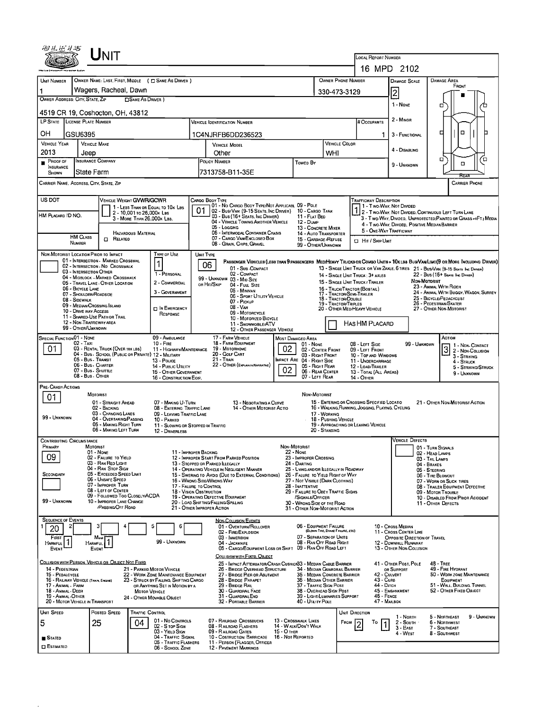| UNIT                                                                                                                                   |                                                                                                                                 |                                                                                  |                                                                                                                               |
|----------------------------------------------------------------------------------------------------------------------------------------|---------------------------------------------------------------------------------------------------------------------------------|----------------------------------------------------------------------------------|-------------------------------------------------------------------------------------------------------------------------------|
|                                                                                                                                        |                                                                                                                                 |                                                                                  | LOCAL REPORT NUMBER<br>16 MPD 2102                                                                                            |
|                                                                                                                                        |                                                                                                                                 | OWNER PHONE NUMBER                                                               | <b>DAMAGE AREA</b>                                                                                                            |
| OWNER NAME: LAST, FIRST, MIDDLE ( C SAME AS DRIVER )<br><b>UNIT NUMBER</b><br>Wagers, Racheal, Dawn                                    |                                                                                                                                 |                                                                                  | <b>DAMAGE SCALE</b><br>FRONT                                                                                                  |
| OWNER ADDRESS: CITY, STATE, ZIP<br><b>CISAME AS DRIVER</b> )                                                                           |                                                                                                                                 | 330-473-3129                                                                     | 2                                                                                                                             |
| 4519 CR 19, Coshocton, OH, 43812                                                                                                       |                                                                                                                                 |                                                                                  | 1 - None<br>□                                                                                                                 |
| LP STATE LICENSE PLATE NUMBER                                                                                                          | VEHICLE IDENTIFICATION NUMBER                                                                                                   | # Occupants                                                                      | 2 - MINOR                                                                                                                     |
| OН<br>GSU6395                                                                                                                          | 1C4NJRFB6DD236523                                                                                                               |                                                                                  | ▫<br>□<br>3 - FUNCTIONAL<br>1                                                                                                 |
| <b>VEHICLE YEAR</b><br><b>VEHICLE MAKE</b>                                                                                             | <b>VEHICLE MODEL</b>                                                                                                            | <b>VEHICLE COLOR</b>                                                             | 4 - DISABLING                                                                                                                 |
| 2013<br>Jeep<br><b>INSURANCE COMPANY</b><br>PROOF OF                                                                                   | Other<br>POLICY NUMBER                                                                                                          | WHI                                                                              | α<br>้อ                                                                                                                       |
| <b>INSURANCE</b><br>State Farm<br>SHOWN                                                                                                | Towen By<br>7313758-B11-35E                                                                                                     |                                                                                  | o<br>9 - UNKNOWN                                                                                                              |
| CARRIER NAME, ADDRESS, CITY, STATE, ZIP                                                                                                |                                                                                                                                 |                                                                                  | <b>CARRIER PHONE</b>                                                                                                          |
| US DOT<br>VEHICLE WEIGHT GVWR/GCWR                                                                                                     | CARGO BODY TYPE                                                                                                                 |                                                                                  | Trafficway Description                                                                                                        |
| 1 - LESS THAN OR EQUAL TO 10K LBS<br>2 - 10,001 то 26,000к LBS                                                                         | 01 - No CARGO BODY TYPE/NOT APPLICABL 09 - POLE<br>01<br>02 - Bus/Van (9-15 Seats, Inc Driver)                                  | 10 - Cargo Tank                                                                  | 1 1 - Two Way, Not Divided<br>2 - TWO-WAY, NOT DIVIDED, CONTINUOUS LEFT TURN LANE                                             |
| HM PLACARD ID NO.<br>3 - MORE THAN 26.000K LBS.                                                                                        | 03 - Bus (16+ Seats, Inc Driver)<br>04 - VEHICLE TOWING ANOTHER VEHICLE                                                         | 11 - FLAT BED<br>12 - Dump                                                       | 3 - Two-Way, Divided, Unprotected (Painted or Grass >4FT.) Media<br>4 - Two-Way, Divided, Positive Median Barrier             |
| <b>HAZARDOUS MATERIAL</b><br><b>HM CLASS</b>                                                                                           | 05 - Logging<br>05 - INTERMODAL CONTAINER CHASIS<br>07 - CARGO VAN ENCLOSED BOX                                                 | 13 - CONCRETE MIXER<br>14 - AUTO TRANSPORTER                                     | 5 - ONE-WAY TRAFFICWAY                                                                                                        |
| $\Box$<br>RELATED<br><b>NUMBER</b>                                                                                                     | 08 - Grain, Chips, Gravel                                                                                                       | 15 - GARBAGE / REFUSE<br><b>D</b> Hit / Skip Unit<br>99 - OTHER/UNKNOWN          |                                                                                                                               |
| Type of Use<br>NON-MOTORIST LOCATION PRIOR TO IMPACT<br>01 - INTERSECTION - MARKED CROSSWAL                                            | UNIT TYPE                                                                                                                       |                                                                                  | PASSENGER VEHICLES (LESS THAN 9 PASSENGERS MED/HEAVY TRUCKS OR COMBO UNITS > 10K LBS BUS/VAN/LIMO(9 OR MORE INCLUDING DRIVER) |
| 1<br>02 - INTERSECTION - NO CROSSWALK<br>03 - INTERSECTION OTHER<br>1 - PERSONAL                                                       | 06<br>01 - Sub-COMPACT<br>02 - COMPACT                                                                                          |                                                                                  | 13 - SINGLE UNIT TRUCK OR VAN ZAXLE, 6 TIRES 21 - BUS/VAN (9-15 SEATS INC DAMER)                                              |
| 04 - MIDBLOCK - MARKED CROSSWALK<br>2 - COMMERCIAL<br>05 - TRAVEL LANE - OTHER LOCATION                                                | 99 - UNKNOWN 03 - MID SIZE<br>OR HIT/SKIP<br>04 - Full Size                                                                     | 14 - SINGLE UNIT TRUCK: 3+ AXLES<br>15 - SINGLE UNIT TRUCK / TRAILER             | 22 - BUS (16+ SEATS, INC DRIVER)<br>Non-Matorist                                                                              |
| 06 - BICYCLE LANE<br>3 - GOVERNMENT<br>07 - Shoulder/Roadside                                                                          | 05 - MINIVAN<br>06 - SPORT UTILITY VEHICLE                                                                                      | 16 - TRUCK/TRACTOR (BOBTAIL)<br>17 - TRACTOR/SEMI-TRAILER                        | 23 - ANIMAL WITH RIDER<br>24 - ANIMAL WITH BUGGY, WAGON, SURREY                                                               |
| 08 - Sidewalk<br>09 - MEDIAN/CROSSING ISLAND<br>IN EMERGENCY                                                                           | 07 - Pickup<br>08 - VAN                                                                                                         | 18 - TRACTOR/DOUBLE<br>19 - TRACTOR/TRIPLES<br>20 - OTHER MED/HEAVY VEHICLE      | 25 - BICYCLE/PEDACYCLIST<br>26 - PEDESTRIAN/SKATER<br>27 - OTHER NON-MOTORIST                                                 |
| 10 - DRIVE WAY ACCESS<br>RESPONSE<br>11 - SHARED-USE PATH OR TRAIL                                                                     | 09 - MOTORCYCLE<br>10 - MOTORIZED BICYCLE                                                                                       |                                                                                  |                                                                                                                               |
| 12 - NON-TRAFFICWAY AREA<br>99 - OTHER/UNKNOWN                                                                                         | 11 - SNOWMOBILE/ATV<br>12 - OTHER PASSENGER VEHICLE                                                                             | HAS HM PLACARD                                                                   |                                                                                                                               |
| <b>SPECIAL FUNCTION 01 - NONE</b><br>09 - AMBULANCE<br>02 - Taxi<br>$10 -$ FIRE                                                        | 17 - FARM VEHICLE<br><b>MOST DAMAGED AREA</b><br>18 - FARM EQUIPMENT                                                            | 01 - NONE<br>08 - LEFT SIDE                                                      | ACTION<br>99 - UNKNOWN<br>1 - Non-Contact                                                                                     |
| 01<br>03 - RENTAL TRUCK (OVER 10KLBS)<br>11 - HIGHWAY/MAINTENANCE<br>04 - Bus - SCHOOL (PUBLIC OR PRIVATE) 12 - MILITARY               | 02<br>19 - Мотокноме<br>20 - GOLF CART                                                                                          | 02 - CENTER FRONT<br>09 - LEFT FRONT<br>03 - RIGHT FRONT<br>10 - Top and Windows | 3 2 - NON-COLLISION<br>3 - STRIKING                                                                                           |
| 05 - Bus - Transit<br>13 - Pouce<br>06 - Bus - Charter<br>14 - PUBLIC UTILITY                                                          | 21 - TRAIN<br><b>IMPACT ARE 04 - RIGHT SIDE</b><br>22 - OTHER (EXPLAININ NARRATIVE)<br>02                                       | 11 - UNDERCARRIAGE<br>05 - Right Rear<br>12 - LOAD/TRAILER                       | 4 - STRUCK<br>5 - STRIKING/STRUCK                                                                                             |
| 07 - Bus - SHUTTLE<br>15 - OTHER GOVERNMENT<br>08 - Bus - OTHER<br>16 - CONSTRUCTION EOIP.                                             |                                                                                                                                 | 06 - REAR CENTER<br>13 - TOTAL (ALL AREAS)<br>07 - LEFT REAR<br>14 - Отнев       | 9 - UNKNOWN                                                                                                                   |
| PRE-CRASH ACTIONS                                                                                                                      |                                                                                                                                 |                                                                                  |                                                                                                                               |
| MOTORIST<br>01<br>01 - STRAIGHT AHEAD<br>07 - MAKING U-TURN                                                                            | 13 - NEGOTIATING A CURVE                                                                                                        | NON-MOTORIST<br>15 - ENTERING OR CROSSING SPECIFIED LOCATIO                      | 21 - OTHER NON-MOTORIST ACTION                                                                                                |
| 02 - BACKING<br>08 - ENTERING TRAFFIC LANE<br>03 - CHANGING LANES<br>09 - LEAVING TRAFFIC LANE<br>99 - UNKNOWN                         | 14 - Отнев Мотовіѕт Астіо                                                                                                       | 16 - WALKING, RUNNING, JOGGING, PLAYING, CYCLING<br>17 - WORKING                 |                                                                                                                               |
| 04 - OVERTAKING/PASSING<br>10 - PARKED<br>05 - MAKING RIGHT TURN<br>06 - MAKING LEFT TURN                                              | 11 - SLOWING OR STOPPED IN TRAFFIC                                                                                              | 18 - PUSHING VEHICLE<br>19 - APPROACHING OR LEAVING VEHICLE<br>20 - Standing     |                                                                                                                               |
| 12 - DRIVERLESS<br><b>CONTRIBUTING CIRCUMSTANCE</b>                                                                                    |                                                                                                                                 |                                                                                  | <b>VEHICLE DEFECTS</b>                                                                                                        |
| MOTORIST<br>Primary<br>01 - None                                                                                                       | NON MOTORIST<br>22 - None<br>11 - IMPROPER BACKING                                                                              |                                                                                  | 01 - TURN SIGNALS<br>02 - HEAD LAMPS                                                                                          |
| 09<br>02 - FAILURE TO YIELD<br>03 - RAN RED LIGHT                                                                                      | 12 - IMPROPER START FROM PARKED POSITION<br>24 - DARTING<br>13 - Stopped or PARKED ILLEGALLY                                    | 23 - IMPROPER CROSSING                                                           | 03 - TAIL LAMPS<br>04 - BRAKES                                                                                                |
| 04 - RAN STOP SIGN<br>05 - Exceeded Speed Limit<br>SECONDARY                                                                           | 14 - OPERATING VEHICLE IN NEGLIGENT MANNER<br>15 - SWERING TO AVOID (DUE TO EXTERNAL CONDITIONS)                                | 25 - LYING AND/OR ILLEGALLY IN ROADWAY<br>26 - FALURE TO YIELD RIGHT OF WAY      | 05 - STEERING<br>06 - TIRE BLOWOUT                                                                                            |
| 06 - Unsafe Speed<br>07 - IMPROPER TURN                                                                                                | 16 - WRONG SIDE/WRONG WAY<br>17 - FALURE TO CONTROL<br>28 - INATTENTIVE                                                         | 27 - NOT VISIBLE (DARK CLOTHING)                                                 | 07 - WORN OR SLICK TIRES<br>08 - TRAILER EQUIPMENT DEFECTIVE                                                                  |
| 08 - LEFT OF CENTER<br>09 - FOLLOWED TOO CLOSELY/ACDA<br>99 - UNKNOWN<br>10 - IMPROPER LANE CHANGE                                     | 18 - VISION OBSTRUCTION<br>19 - OPERATING DEFECTIVE EQUIPMENT                                                                   | 29 - FAILURE TO OBEY TRAFFIC SIGNS<br>/SIGNALS/OFFICER                           | 09 - MOTOR TROUBLE<br>10 - DISABLED FROM PRIOR ACCIDENT                                                                       |
| <b>PASSING OFF ROAD</b>                                                                                                                | 20 - LOAD SHIFTING/FALLING/SPILLING<br>21 - OTHER IMPROPER ACTION                                                               | 30 - Wrong Side of the Road<br>31 - OTHER NON-MOTORIST ACTION                    | 11 - OTHER DEFECTS                                                                                                            |
| <b>SEQUENCE OF EVENTS</b><br>5<br>6                                                                                                    | NON-COLLISION EVENTS<br>01 - OVERTURN/ROLLOVER                                                                                  | 06 - EQUIPMENT FAILURE                                                           | 10 - Cross Median                                                                                                             |
| 20<br>FIRST<br>Most                                                                                                                    | 02 - FIRE/EXPLOSION<br>03 - IMMERSION                                                                                           | (BLOWN TIRE, BRAKE FAILURE, ETC)<br>07 - SEPARATION OF UNITS                     | 11 - Cross CENTER LINE<br>OPPOSITE DIRECTION OF TRAVEL                                                                        |
| 99 - UNKNOWN<br><b>HARMFUL</b><br><b>HARMFUL</b><br>EVENT<br>EVENT                                                                     | 04 - JACKKNIFE<br>05 - CARGO/EQUIPMENT LOSS OR SHIFT 09 - RAN OFF ROAD LEFT                                                     | 08 - RAN OFF ROAD RIGHT                                                          | 12 - DOWNHILL RUNAWAY<br>13 - OTHER NON-COLLISION                                                                             |
| COLLISION WITH PERSON, VEHICLE OR OBJECT NOT FIXED                                                                                     | COLLISION WITH FIXED, OBJECT                                                                                                    |                                                                                  |                                                                                                                               |
| 14 - PEDESTRIAN<br>21 - PARKED MOTOR VEHICLE<br>15 - PEDALCYCLE<br>22 - WORK ZONE MAINTENANCE EQUIPMENT                                | 25 - IMPACT ATTENUATOR/CRASH CUSHION33 - MEDIAN CABLE BARRIER<br>26 - BRIDGE OVERHEAD STRUCTURE<br>27 - BRIDGE PIER OR ABUTMENT | 34 - MEDIAN GUARDRAIL BARRIER<br>35 - MEDIAN CONCRETE BARRIER                    | 41 - OTHER POST, POLE<br><b>48 - TREE</b><br>49 - FIRE HYDRANT<br>OR SUPPORT<br>42 - CULVERT<br>50 - WORK ZONE MAINTENANCE    |
| 16 - RAILWAY VEHICLE (TRAIN, ENGINE)<br>23 - STRUCK BY FALLING, SHIFTING CARGO<br>17 - Animal - Farm<br>OR ANYTHING SET IN MOTION BY A | 28 - BRIDGE PARAPET<br>29 - BRIDGE RAIL                                                                                         | 36 - MEDIAN OTHER BARRIER<br>37 - TRAFFIC SIGN POST                              | 43 - CuRB<br>EQUIPMENT<br>44 - Олсн<br>51 - WALL, BUILDING, TUNNEL                                                            |
| 18 - Animal - Deer<br><b>MOTOR VEHICLE</b><br>19 - ANIMAL -OTHER<br>24 - OTHER MOVABLE OBJECT                                          | 30 - GUARDRAIL FACE<br>31 - GUARDRALEND                                                                                         | 38 - OVERHEAD SIGN POST<br>39 - LIGHT/LUMINARIES SUPPORT                         | 45 - EMBANKMENT<br>52 - OTHER FIXED OBJECT<br>46 - FENCE                                                                      |
| 20 - MOTOR VEHICLE IN TRANSPORT                                                                                                        | 32 - PORTABLE BARRIER                                                                                                           | 40 - UTILITY POLE                                                                | 47 - MAILBOX                                                                                                                  |
| UNIT SPEED<br>POSTEO SPEED<br><b>TRAFFIC CONTROL</b><br>01 - No CONTROLS                                                               | 07 - RAILROAD CROSSBUCKS<br>13 - Crosswalk Lines                                                                                | <b>UNIT DIRECTION</b><br>FROM                                                    | 1 - North<br>5 - Northeast<br>9 - UNKNOWN<br><b>6 - NORTHWEST</b><br>То<br>2 - South                                          |
| 5<br>25<br>04<br>02 - S top Sign<br>03 - Yield Sign                                                                                    | 14 - WALK/DON'T WALK<br>08 - RAILROAD FLASHERS<br>09 - RAILROAD GATES<br>15 - O THER                                            |                                                                                  | 3 - East<br>7 - SOUTHEAST<br>4 - West<br>8 - SOUTHWEST                                                                        |
| 04 - Traffic Signal<br>∎ Stated<br>05 - TRAFFIC FLASHERS                                                                               | 10 - COSTRUCTION BARRICADE<br>16 - Not Reported<br>11 - PERSON (FLAGGER, OFFICER                                                |                                                                                  |                                                                                                                               |
| <b>D</b> ESTIMATED<br>06 - SCHOOL ZONE                                                                                                 | <b>12 - PAVEMENT MARKINGS</b>                                                                                                   |                                                                                  |                                                                                                                               |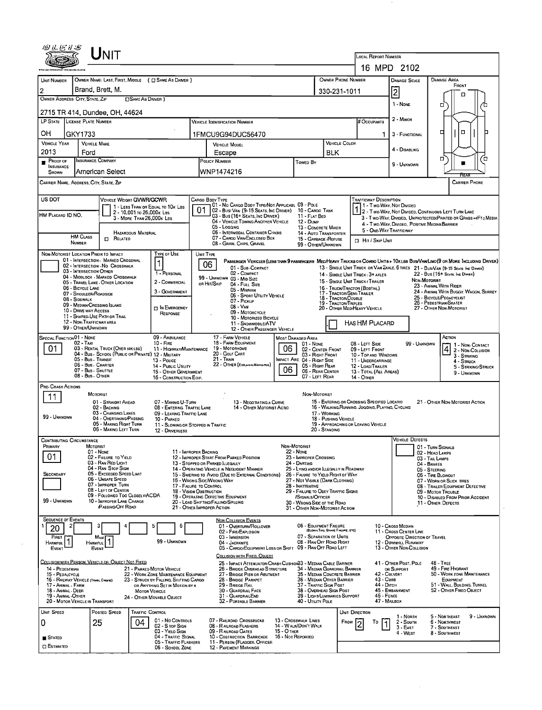|                                                            | ${\sf UnIT}$                                                                           |                                                                          |                                                                                                                                    |             |                                                                             |                                             | LOCAL REPORT NUMBER                                                                                                  |                                                        |                                                    |                                                                  |             |
|------------------------------------------------------------|----------------------------------------------------------------------------------------|--------------------------------------------------------------------------|------------------------------------------------------------------------------------------------------------------------------------|-------------|-----------------------------------------------------------------------------|---------------------------------------------|----------------------------------------------------------------------------------------------------------------------|--------------------------------------------------------|----------------------------------------------------|------------------------------------------------------------------|-------------|
|                                                            |                                                                                        |                                                                          |                                                                                                                                    |             |                                                                             |                                             | 16 MPD 2102                                                                                                          |                                                        |                                                    |                                                                  |             |
| UNIT NUMBER                                                | OWNER NAME: LAST, FIRST, MIDDLE ( C SAME AS DRIVER )                                   |                                                                          |                                                                                                                                    |             |                                                                             | OWNER PHONE NUMBER                          |                                                                                                                      | <b>DAMAGE SCALE</b>                                    |                                                    | <b>DAMAGE AREA</b><br>FRONT                                      |             |
| $\overline{2}$                                             | Brand, Brett, M.                                                                       |                                                                          |                                                                                                                                    |             |                                                                             | 330-231-1011                                |                                                                                                                      | $ \bar{2} $                                            |                                                    | п                                                                |             |
| OWNER ADDRESS: CITY, STATE, ZIP                            | □ SAME AS DRIVER )                                                                     |                                                                          |                                                                                                                                    |             |                                                                             |                                             |                                                                                                                      | 1 - None                                               | о                                                  |                                                                  | О           |
| 2715 TR 414, Dundee, OH, 44624                             |                                                                                        |                                                                          |                                                                                                                                    |             |                                                                             |                                             |                                                                                                                      |                                                        |                                                    |                                                                  |             |
| LP STATE LICENSE PLATE NUMBER                              |                                                                                        |                                                                          | <b>VEHICLE IDENTIFICATION NUMBER</b>                                                                                               |             |                                                                             |                                             | <b># Occupants</b>                                                                                                   | 2 - Minor                                              |                                                    |                                                                  |             |
| OН<br>GKY1733                                              |                                                                                        |                                                                          | 1FMCU9G94DUC56470                                                                                                                  |             |                                                                             |                                             | 1                                                                                                                    | 3 - FUNCTIONAL                                         | □                                                  | о                                                                |             |
| <b>VEHICLE YEAR</b>                                        | <b>VEHICLE MAKE</b>                                                                    |                                                                          | <b>VEHICLE MODEL</b>                                                                                                               |             |                                                                             | VEHICLE COLOR                               |                                                                                                                      |                                                        |                                                    |                                                                  |             |
| 2013<br>Ford                                               |                                                                                        |                                                                          | Escape                                                                                                                             |             |                                                                             | <b>BLK</b>                                  |                                                                                                                      | 4 - DISABLING                                          |                                                    |                                                                  |             |
| $P_{\text{ROOF OF}}$                                       | <b>INSURANCE COMPANY</b>                                                               |                                                                          | POLICY NUMBER                                                                                                                      |             | Towed By                                                                    |                                             |                                                                                                                      | 9 - UNKNOWN                                            | о                                                  |                                                                  | o           |
| <b>INSURANCE</b><br>SHOWN                                  | American Select                                                                        |                                                                          | WNP1474216                                                                                                                         |             |                                                                             |                                             |                                                                                                                      |                                                        |                                                    |                                                                  |             |
| CARRIER NAME, ADDRESS, CITY, STATE, ZIP                    |                                                                                        |                                                                          |                                                                                                                                    |             |                                                                             |                                             |                                                                                                                      |                                                        |                                                    | CARRIER PHONE                                                    |             |
|                                                            |                                                                                        |                                                                          |                                                                                                                                    |             |                                                                             |                                             |                                                                                                                      |                                                        |                                                    |                                                                  |             |
| US DOT                                                     | VEHICLE WEIGHT GVWR/GCWR                                                               |                                                                          | Cargo Body Type<br>01 - No CARGO BODY TYPE/NOT APPLICABL 09 - POLE                                                                 |             |                                                                             |                                             | Trafficway Description<br>1 - Two-Way, Not Divided<br>1 2 - Two Way, Not Divided                                     |                                                        |                                                    |                                                                  |             |
| HM PLACARD ID NO.                                          | 2 - 10,001 To 26,000 k Las                                                             | 1 - LESS THAN OR EQUAL TO 10K LBS                                        | 01<br>02 - Bus/ Van (9-15 Seats, Inc Driver)<br>03 - Bus (16+ SEATS, INC DRIVER)                                                   |             | 10 - Cargo Tank<br>11 - FLAT BED                                            |                                             |                                                                                                                      |                                                        |                                                    | 2 - Two-Way, Not Divided, Continuous Left Turn Lane              |             |
|                                                            | 3 - MORE THAN 26,000K LBS.                                                             |                                                                          | 04 - VEHICLE TOWING ANOTHER VEHICLE                                                                                                |             | 12 - Dump                                                                   |                                             |                                                                                                                      | 4 - Two-Way, Divideo, Positive Median Barrier          |                                                    | 3 - Two-Way, Divided, UNPROTECTED (PAINTED OR GRASS >4FT.) MEDIA |             |
|                                                            | <b>HAZARDOUS MATERIAL</b>                                                              |                                                                          | 05 - Logging<br>06 - INTERMODAL CONTAINER CHASIS                                                                                   |             | 13 - CONCRETE MIXER<br>14 - AUTO TRANSPORTER                                |                                             | 5 - ONE-WAY TRAFFICWAY                                                                                               |                                                        |                                                    |                                                                  |             |
| <b>HM CLASS</b><br><b>NUMBER</b>                           | $\Box$ Related                                                                         |                                                                          | 07 - CARGO VAN/ENCLOSED BOX<br>08 - GRAIN, CHIPS, GRAVEL                                                                           |             | 15 - GARBAGE / REFUSE<br>99 - OTHER/UNKNOWN                                 |                                             | HIT / SKIP UNIT                                                                                                      |                                                        |                                                    |                                                                  |             |
| NON-MOTORIST LOCATION PRIOR TO IMPACT                      |                                                                                        | TYPE OF USE                                                              | UNIT TYPE                                                                                                                          |             |                                                                             |                                             |                                                                                                                      |                                                        |                                                    |                                                                  |             |
|                                                            | 01 - INTERSECTION - MARKED CROSSWAL<br>02 - INTERSECTION - NO CROSSWALK                |                                                                          | PASSENGER VEHICLES (LESS THAN 9 PASSENGERS MEDIMEAVY TRUCKS OR COMBO UNITS > 10K LBS BUS/VAMLIMO(9 OR MORE INCLUDING DRIVER)<br>06 |             |                                                                             |                                             |                                                                                                                      |                                                        |                                                    |                                                                  |             |
| 03 - INTERSECTION OTHER                                    |                                                                                        | 1 - PERSONAL                                                             | 01 - SUB-COMPACT<br>02 - COMPACT                                                                                                   |             |                                                                             |                                             | 13 - SINGLE UNIT TRUCK OR VAN 2AXLE, 6 TIRES 21 - BUS/VAN (9-15 SEATS INC DAMER)<br>14 - SINGLE UNIT TRUCK: 3+ AXLES |                                                        |                                                    | 22 - BUS (16+ SEATS, INC DRWER)                                  |             |
|                                                            | 04 - MIDBLOCK - MARKED CROSSWALK<br>05 - TRAVEL LANE - OTHER LOCATION                  | 2 - COMMERCIAL                                                           | 99 - UNKNOWN 03 - MID SIZE<br>OR HIT/SKIP<br>04 - FULL SIZE                                                                        |             |                                                                             |                                             | 15 - SINGLE UNIT TRUCK / TRAILER                                                                                     |                                                        | NON-MOTORIST<br>23 - ANIMAL WITH RIDER             |                                                                  |             |
| 06 - BICYCLE LANE<br>07 - Shoulder/Roadside                |                                                                                        | 3 - GOVERNMENT                                                           | 05 - MINIVAN<br>06 - SPORT UTILITY VEHICLE                                                                                         |             |                                                                             | 17 - TRACTOR/SEMI-TRAILER                   | 16 - TRUCK/TRACTOR (BOBTAIL)                                                                                         |                                                        |                                                    | 24 - ANIMAL WITH BUGGY, WAGON, SURREY                            |             |
| 08 - Sidewalk                                              | 09 - MEDIAN/CROSSING ISLAND                                                            |                                                                          | 07 - Pickup                                                                                                                        |             |                                                                             | 18 - TRACTOR/DOUBLE<br>19 - TRACTOR/TRIPLES |                                                                                                                      |                                                        | 25 - BICYCLE/PEOACYCLIST<br>26 - PEDESTRIAN/SKATER |                                                                  |             |
| 10 - DRIVE WAY ACCESS                                      |                                                                                        | <b>DIN EMERGENCY</b><br>RESPONSE                                         | 08 - VAN<br>09 - MOTORCYCLE                                                                                                        |             |                                                                             |                                             | 20 - OTHER MED/HEAVY VEHICLE                                                                                         |                                                        | 27 - OTHER NON-MOTORIST                            |                                                                  |             |
| 12 - NON-TRAFFICWAY AREA                                   | 11 - SHARED-USE PATH OR TRAIL                                                          |                                                                          | 10 - MOTORIZED BICYCLE<br>11 - SNDWMOBILE/ATV                                                                                      |             |                                                                             |                                             | HAS HM PLACARD                                                                                                       |                                                        |                                                    |                                                                  |             |
| 99 - OTHER/UNKNOWN                                         |                                                                                        |                                                                          | 12 - OTHER PASSENGER VEHICLE                                                                                                       |             |                                                                             |                                             |                                                                                                                      |                                                        |                                                    |                                                                  |             |
| SPECIAL FUNCTION <sup>01</sup> - NONE<br>02 - TAXI         |                                                                                        | 09 - AMBULANCE<br>$10 -$ Fire                                            | 17 - FARM VEHICLE<br>18 - FARM EQUIPMENT                                                                                           |             | <b>MOST DAMAGED AREA</b><br>$01 - None$                                     |                                             | 08 - LEFT SIDE                                                                                                       |                                                        | 99 - UNKNOWN                                       | ACTION                                                           |             |
| 01                                                         | 03 - RENTAL TRUCK (OVER 10KLBS)<br>04 - Bus - SCHOOL (PUBLIC OR PRIVATE) 12 - MILITARY | 11 - HIGHWAY/MAINTENANCE                                                 | 19 - MOTORHOME<br>20 - GOLF CART                                                                                                   | 06          | 02 - CENTER FRONT<br>03 - RIGHT FRONT                                       |                                             | 09 - LEFT FRONT<br>10 - Top and Windows                                                                              |                                                        |                                                    | 4 2 - Non-Contact<br>4 2 - Non-Collision<br>3 - STRIKING         |             |
|                                                            | 05 - Bus - Transit<br>06 - Bus. Charter                                                | 13 - Pouce<br>14 - PUBLIC UTILITY                                        | 21 - TRAIN<br>22 - OTHER (EXPLAININ NARRAWE)                                                                                       |             | IMPACT ARE 04 - RIGHT SIDE<br>05 - Right Rear                               |                                             | 11 - UNDERCARRIAGE<br>12 - LOAD/TRAILER                                                                              |                                                        |                                                    | 4 - Struck                                                       |             |
| 08 - Bus - OTHER                                           | 07 - Bus - SHUTTLE                                                                     | 15 - OTHER GOVERNMENT                                                    |                                                                                                                                    | 06          | 06 - REAR CENTER<br>07 - LEFT REAR                                          |                                             | 13 - TOTAL (ALL AREAS)                                                                                               |                                                        |                                                    | 5 - STRIKING/STRUCK<br>9 - UNKNOWN                               |             |
| PRE-CRASH ACTIONS                                          |                                                                                        | 16 - CONSTRUCTION EQIP.                                                  |                                                                                                                                    |             |                                                                             |                                             | 14 - OTHER                                                                                                           |                                                        |                                                    |                                                                  |             |
|                                                            | MOTORIST                                                                               |                                                                          |                                                                                                                                    |             | NON-MOTORIST                                                                |                                             |                                                                                                                      |                                                        |                                                    |                                                                  |             |
| 11                                                         | 01 - STRAIGHT AHEAD                                                                    | 07 - MAKING U-TURN                                                       | 13 - NEGOTIATING A CURVE                                                                                                           |             |                                                                             |                                             | 15 - ENTERING OR CROSSING SPECIFIED LOCATIO                                                                          |                                                        |                                                    | 21 - OTHER NON-MOTORIST ACTION                                   |             |
|                                                            | 02 - BACKING<br>03 - Changing Lanes                                                    | 08 - ENTERING TRAFFIC LANE<br>09 - LEAVING TRAFFIC LANE                  | 14 - OTHER MOTORIST ACTIO                                                                                                          |             |                                                                             | 17 - WORKING                                | 16 - WALKING, RUNNING, JOGGING, PLAYING, CYCLING                                                                     |                                                        |                                                    |                                                                  |             |
| 99 - UNKNOWN                                               | 04 - OVERTAKING/PASSING<br>05 - MAKING RIGHT TURN                                      | 10 - PARKED                                                              | 11 - SLOWING OR STOPPED IN TRAFFIC                                                                                                 |             |                                                                             | 18 - PUSHING VEHICLE                        | 19 - APPROACHING OR LEAVING VEHICLE                                                                                  |                                                        |                                                    |                                                                  |             |
|                                                            | 06 - MAKING LEFT TURN                                                                  | 12 - DRIVERLESS                                                          |                                                                                                                                    |             |                                                                             | 20 - Standing                               |                                                                                                                      |                                                        |                                                    |                                                                  |             |
| CONTRIBUTING CIRCUMSTANCE<br>PRIMARY                       | <b>MOTORIST</b>                                                                        |                                                                          |                                                                                                                                    |             | NDN-MOTORIST                                                                |                                             |                                                                                                                      | VEHICLE DEFECTS                                        | 01 - TURN SIGNALS                                  |                                                                  |             |
| 01                                                         | 01 - None                                                                              |                                                                          | 11 - IMPROPER BACKING                                                                                                              |             | 22 - NONE                                                                   |                                             |                                                                                                                      |                                                        | 02 - HEAD LAMPS                                    |                                                                  |             |
|                                                            | 02 - FAILURE TO YIELD<br>03 - RAN RED LIGHT                                            |                                                                          | 12 - IMPROPER START FROM PARKED POSITION<br>13 - STOPPED OR PARKED LLEGALLY                                                        |             | 23 - IMPROPER CROSSING<br>24 - DARTING                                      |                                             |                                                                                                                      |                                                        | 03 - TAIL LAMPS<br>04 - BRAKES                     |                                                                  |             |
| SECONDARY                                                  | 04 - RAN STOP SIGN<br>05 - Exceeped Speed Limit                                        |                                                                          | 14 - OPERATING VEHICLE IN NEGLIGENT MANNER<br>15 - Swering to Avoid (Due to External Conditions)                                   |             | 25 - LYING AND/OR ILLEGALLY IN ROADWAY<br>26 - FALURE TO YIELD RIGHT OF WAY |                                             |                                                                                                                      |                                                        | 05 - STEERING<br>06 - TIRE BLOWOUT                 |                                                                  |             |
|                                                            | 06 - UNSAFE SPEED<br>07 - IMPROPER TURN                                                |                                                                          | 16 - WRONG SIDE/WRONG WAY<br>17 - FALURE TO CONTROL                                                                                |             | 27 - NOT VISIBLE (DARK CLOTHING)<br>28 - Inattentive                        |                                             |                                                                                                                      |                                                        |                                                    | 07 - WORN OR SLICK TIRES<br>08 - TRAILER EQUIPMENT DEFECTIVE     |             |
|                                                            | 08 - LEFT OF CENTER<br>09 - FOLLOWED TOO CLOSELY/ACDA                                  |                                                                          | <b>18 - VISION OBSTRUCTION</b><br>19 - OPERATING DEFECTIVE EQUIPMENT                                                               |             | 29 - FAILURE TO OBEY TRAFFIC SIGNS<br>/SIGNALS/OFFICER                      |                                             |                                                                                                                      |                                                        | 09 - MOTOR TROUBLE                                 | 10 - DISABLED FROM PRIOR ACCIDENT                                |             |
| 99 - UNKNOWN                                               | 10 - IMPROPER LANE CHANGE<br>PASSING/OFF ROAD                                          |                                                                          | 20 - LOAD SHIFTING/FALLING/SPILLING<br>21 - OTHER IMPROPER ACTION                                                                  |             | 30 - WRONG SIDE OF THE ROAD<br>31 - OTHER NON-MOTORIST ACTION               |                                             |                                                                                                                      |                                                        | 11 - OTHER DEFECTS                                 |                                                                  |             |
|                                                            |                                                                                        |                                                                          |                                                                                                                                    |             |                                                                             |                                             |                                                                                                                      |                                                        |                                                    |                                                                  |             |
| <b>SEQUENCE OF EVENTS</b>                                  | з                                                                                      | 5<br>6                                                                   | <b>NON-COLLISION EVENTS</b><br>01 - OVERTURN/ROLLOVER                                                                              |             | 06 - EQUIPMENT FAILURE                                                      |                                             |                                                                                                                      | 10 - Cross Median                                      |                                                    |                                                                  |             |
| 20                                                         | Most                                                                                   |                                                                          | 02 - FIRE/EXPLOSION<br>03 - IMMERSION                                                                                              |             | 07 - SEPARATION OF UNITS                                                    | (BLOWN TIRE, BRAKE FAILURE, ETC)            |                                                                                                                      | 11 - Cross CENTER LINE<br>OPPOSITE DIRECTION OF TRAVEL |                                                    |                                                                  |             |
|                                                            | HARMFUL <sup>1</sup>                                                                   | 99 - UNKNOWN                                                             | 04 - JACKKNIFE<br>05 - CARGO/EQUIPMENT LOSS OR SHIFT 09 - RAN OFF ROAD LEFT                                                        |             | 08 - RAN OFF ROAD RIGHT                                                     |                                             |                                                                                                                      | 12 - DOWNHILL RUNAWAY<br>13 - OTHER NON-COLLISION      |                                                    |                                                                  |             |
| <b>FIRST</b>                                               |                                                                                        |                                                                          | COLLISION WITH FIXED, OBJECT                                                                                                       |             |                                                                             |                                             |                                                                                                                      |                                                        |                                                    |                                                                  |             |
| EVENT                                                      | <b>EVENT</b>                                                                           |                                                                          | 25 - IMPACT ATTENUATOR/CRASH CUSHION33 - MEDIAN CABLE BARRIER                                                                      |             |                                                                             |                                             |                                                                                                                      | 41 - OTHER POST, POLE                                  | <b>48 - TREE</b>                                   |                                                                  |             |
|                                                            | COLLISION WITH PERSON, VEHICLE OR OBJECT NOT FIXED                                     |                                                                          |                                                                                                                                    |             |                                                                             |                                             |                                                                                                                      | OR SUPPORT                                             |                                                    | 49 - FIRE HYDRANT                                                |             |
| 14 - PEDESTRIAN<br>15 - PEDALCYCLE                         |                                                                                        | 21 - PARKED MOTOR VEHICLE<br>22 - WORK ZONE MAINTENANCE EQUIPMENT        | 26 - BRIDGE OVERHEAD STRUCTURE<br>27 - BRIDGE PIER OR ABUTMENT                                                                     |             | 34 - MEDIAN GUARORAIL BARRIER                                               | 35 - MEDIAN CONCRETE BARRIER                | 42 - CULVERT                                                                                                         |                                                        |                                                    | 50 - WORK ZONE MAINTENANCE                                       |             |
| 16 - RAILWAY VEHICLE (TRAIN, ENGINE)<br>17 - ANIMAL - FARM |                                                                                        | 23 - STRUCK BY FALLING, SHIFTING CARGO<br>OR ANYTHING SET IN MOTION BY A | 28 - BRIDGE PARAPET<br>29 - Bridge Rail                                                                                            |             | 37 - TRAFFIC SIGN POST                                                      | 36 - MEDIAN OTHER BARRIER                   | 43 - Curs<br>44 - Опсн                                                                                               |                                                        |                                                    | EQUIPMENT<br>51 - WALL, BUILDING, TUNNEL                         |             |
| 18 - ANIMAL DEER                                           |                                                                                        | <b>MOTOR VEHICLE</b>                                                     | 30 - GUARDRAIL FACE                                                                                                                |             | 38 - OVERHEAD SIGN POST                                                     |                                             |                                                                                                                      | 45 - EMBANKMENT                                        |                                                    | 52 - OTHER FIXEO OBJECT                                          |             |
| 19 - ANIMAL - OTHER<br>20 - MOTOR VEHICLE IN TRANSPORT     |                                                                                        | 24 - OTHER MOVABLE OBJECT                                                | 31 - GUARDRAILEND<br>32 - PORTABLE BARRIER                                                                                         |             | 40 - UTILITY POLE                                                           | 39 - LIGHT/LUMINARIES SUPPORT               | 46 - FENCE<br>47 - MAILBOX                                                                                           |                                                        |                                                    |                                                                  |             |
| UNIT SPEED                                                 | Posted SPEED                                                                           | TRAFFIC CONTROL                                                          |                                                                                                                                    |             |                                                                             |                                             | <b>UNIT DIRECTION</b>                                                                                                |                                                        |                                                    |                                                                  |             |
| 0                                                          | 25<br>04                                                                               | 01 - No CONTROLS                                                         | 07 - RAILROAD CROSSBUCKS                                                                                                           |             | 13 - Crosswalk LINES                                                        | FROM                                        | То                                                                                                                   | 1 - North<br>2 - South                                 |                                                    | 5 - NORTHEAST<br>6 - NORTHWEST                                   | 9 - UNKNOWN |
|                                                            |                                                                                        | 02 - S top Sign<br>03 - YIELD SIGN                                       | 08 - RAILROAD FLASHERS<br>09 - R AILROAD GATES                                                                                     | 15 - O THER | 14 - WALK/DON'T WALK                                                        |                                             |                                                                                                                      | 3 - East<br>4 - WEST                                   |                                                    | 7 - SOUTHEAST<br>8 - Southwest                                   |             |
| <b>STATED</b><br><b>C ESTIMATED</b>                        |                                                                                        | 04 - TRAFFIC SIGNAL<br>05 - Traffic Flashers<br>06 - SCHOOL ZONE         | 10 - COSTRUCTION BARRICADE 16 - NOT REPORTED<br>11 - PERSON (FLAGGER, OFFICER<br>12 - PAVEMENT MARKINGS                            |             |                                                                             |                                             |                                                                                                                      |                                                        |                                                    |                                                                  |             |

 $\mathcal{L}^{\text{max}}_{\text{max}}$  and  $\mathcal{L}^{\text{max}}_{\text{max}}$ 

 $\mathcal{A}_{\mathcal{A}}$ 

 $\sim 10^{11}$  km  $^{-1}$